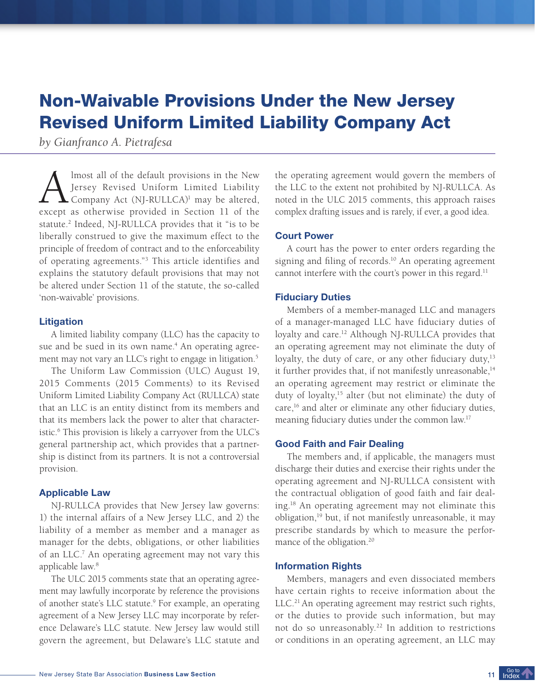# Non-Waivable Provisions Under the New Jersey Revised Uniform Limited Liability Company Act

*by Gianfranco A. Pietrafesa*

A Imost all of the default provisions in the New Jersey Revised Uniform Limited Liability Company Act (NJ-RULLCA)<sup>1</sup> may be altered, except as otherwise provided in Section 11 of the lmost all of the default provisions in the New Jersey Revised Uniform Limited Liability Company Act (NJ-RULLCA)<sup>1</sup> may be altered, statute.<sup>2</sup> Indeed, NJ-RULLCA provides that it "is to be liberally construed to give the maximum effect to the principle of freedom of contract and to the enforceability of operating agreements."<sup>3</sup> This article identifies and explains the statutory default provisions that may not be altered under Section 11 of the statute, the so-called 'non-waivable' provisions.

# **Litigation**

A limited liability company (LLC) has the capacity to sue and be sued in its own name.<sup>4</sup> An operating agreement may not vary an LLC's right to engage in litigation.<sup>5</sup>

The Uniform Law Commission (ULC) August 19, 2015 Comments (2015 Comments) to its Revised Uniform Limited Liability Company Act (RULLCA) state that an LLC is an entity distinct from its members and that its members lack the power to alter that characteristic.<sup>6</sup> This provision is likely a carryover from the ULC's general partnership act, which provides that a partnership is distinct from its partners. It is not a controversial provision.

### Applicable Law

NJ-RULLCA provides that New Jersey law governs: 1) the internal affairs of a New Jersey LLC, and 2) the liability of a member as member and a manager as manager for the debts, obligations, or other liabilities of an LLC.<sup>7</sup> An operating agreement may not vary this applicable law.<sup>8</sup>

The ULC 2015 comments state that an operating agreement may lawfully incorporate by reference the provisions of another state's LLC statute.<sup>9</sup> For example, an operating agreement of a New Jersey LLC may incorporate by reference Delaware's LLC statute. New Jersey law would still govern the agreement, but Delaware's LLC statute and

the operating agreement would govern the members of the LLC to the extent not prohibited by NJ-RULLCA. As noted in the ULC 2015 comments, this approach raises complex drafting issues and is rarely, if ever, a good idea.

# Court Power

A court has the power to enter orders regarding the signing and filing of records.<sup>10</sup> An operating agreement cannot interfere with the court's power in this regard.<sup>11</sup>

## Fiduciary Duties

Members of a member-managed LLC and managers of a manager-managed LLC have fiduciary duties of loyalty and care.<sup>12</sup> Although NJ-RULLCA provides that an operating agreement may not eliminate the duty of loyalty, the duty of care, or any other fiduciary duty,<sup>13</sup> it further provides that, if not manifestly unreasonable,<sup>14</sup> an operating agreement may restrict or eliminate the duty of loyalty,<sup>15</sup> alter (but not eliminate) the duty of care,<sup>16</sup> and alter or eliminate any other fiduciary duties, meaning fiduciary duties under the common law.<sup>17</sup>

## Good Faith and Fair Dealing

The members and, if applicable, the managers must discharge their duties and exercise their rights under the operating agreement and NJ-RULLCA consistent with the contractual obligation of good faith and fair dealing.<sup>18</sup> An operating agreement may not eliminate this obligation,<sup>19</sup> but, if not manifestly unreasonable, it may prescribe standards by which to measure the performance of the obligation.<sup>20</sup>

## Information Rights

Members, managers and even dissociated members have certain rights to receive information about the LLC.<sup>21</sup> An operating agreement may restrict such rights, or the duties to provide such information, but may not do so unreasonably.<sup>22</sup> In addition to restrictions or conditions in an operating agreement, an LLC may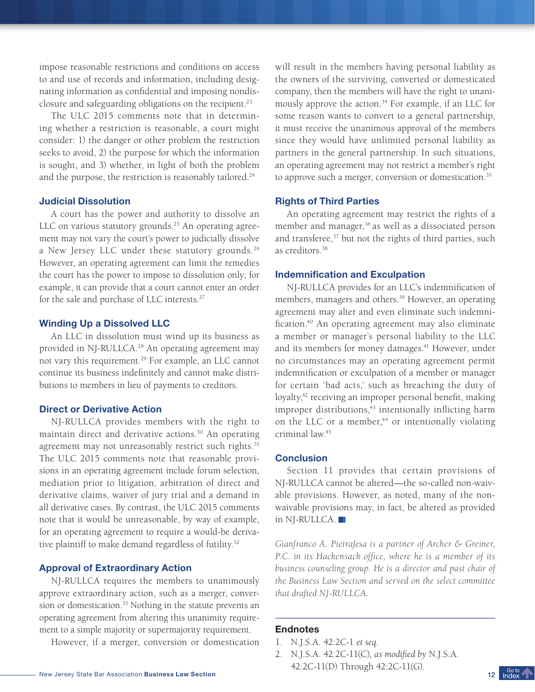impose reasonable restrictions and conditions on access to and use of records and information, including designating information as confidential and imposing nondisclosure and safeguarding obligations on the recipient.<sup>23</sup>

The ULC 2015 comments note that in determining whether a restriction is reasonable, a court might consider: 1) the danger or other problem the restriction seeks to avoid, 2) the purpose for which the information is sought, and 3) whether, in light of both the problem and the purpose, the restriction is reasonably tailored.<sup>24</sup>

## Judicial Dissolution

A court has the power and authority to dissolve an LLC on various statutory grounds.<sup>25</sup> An operating agreement may not vary the court's power to judicially dissolve a New Jersey LLC under these statutory grounds.<sup>26</sup> However, an operating agreement can limit the remedies the court has the power to impose to dissolution only; for example, it can provide that a court cannot enter an order for the sale and purchase of LLC interests.<sup>27</sup>

# Winding Up a Dissolved LLC

An LLC in dissolution must wind up its business as provided in NJ-RULLCA.<sup>28</sup> An operating agreement may not vary this requirement.<sup>29</sup> For example, an LLC cannot continue its business indefinitely and cannot make distributions to members in lieu of payments to creditors.

# Direct or Derivative Action

NJ-RULLCA provides members with the right to maintain direct and derivative actions.<sup>30</sup> An operating agreement may not unreasonably restrict such rights.<sup>31</sup> The ULC 2015 comments note that reasonable provisions in an operating agreement include forum selection, mediation prior to litigation, arbitration of direct and derivative claims, waiver of jury trial and a demand in all derivative cases. By contrast, the ULC 2015 comments note that it would be unreasonable, by way of example, for an operating agreement to require a would-be derivative plaintiff to make demand regardless of futility.<sup>32</sup>

## Approval of Extraordinary Action

NJ-RULLCA requires the members to unanimously approve extraordinary action, such as a merger, conversion or domestication.<sup>33</sup> Nothing in the statute prevents an operating agreement from altering this unanimity requirement to a simple majority or supermajority requirement.

However, if a merger, conversion or domestication

will result in the members having personal liability as the owners of the surviving, converted or domesticated company, then the members will have the right to unanimously approve the action.<sup>34</sup> For example, if an LLC for some reason wants to convert to a general partnership, it must receive the unanimous approval of the members since they would have unlimited personal liability as partners in the general partnership. In such situations, an operating agreement may not restrict a member's right to approve such a merger, conversion or domestication.<sup>35</sup>

# Rights of Third Parties

An operating agreement may restrict the rights of a member and manager,<sup>36</sup> as well as a dissociated person and transferee,<sup>37</sup> but not the rights of third parties, such as creditors.<sup>38</sup>

## Indemnification and Exculpation

NJ-RULLCA provides for an LLC's indemnification of members, managers and others.<sup>39</sup> However, an operating agreement may alter and even eliminate such indemnification.<sup>40</sup> An operating agreement may also eliminate a member or manager's personal liability to the LLC and its members for money damages.<sup>41</sup> However, under no circumstances may an operating agreement permit indemnification or exculpation of a member or manager for certain 'bad acts,' such as breaching the duty of loyalty,<sup>42</sup> receiving an improper personal benefit, making improper distributions, $43$  intentionally inflicting harm on the LLC or a member, $44$  or intentionally violating criminal law.<sup>45</sup>

### **Conclusion**

Section 11 provides that certain provisions of NJ-RULLCA cannot be altered—the so-called non-waivable provisions. However, as noted, many of the nonwaivable provisions may, in fact, be altered as provided in NJ-RULLCA.

*Gianfranco A. Pietrafesa is a partner of Archer & Greiner, P.C. in its Hackensack office, where he is a member of its business counseling group. He is a director and past chair of the Business Law Section and served on the select committee that drafted NJ-RULLCA.* 

## Endnotes

- 1. N.J.S.A. 42:2C-1 *et seq.*
- 2. N.J.S.A. 42:2C-11(C), *as modified by* N.J.S.A. 42:2C-11(D) Through 42:2C-11(G).

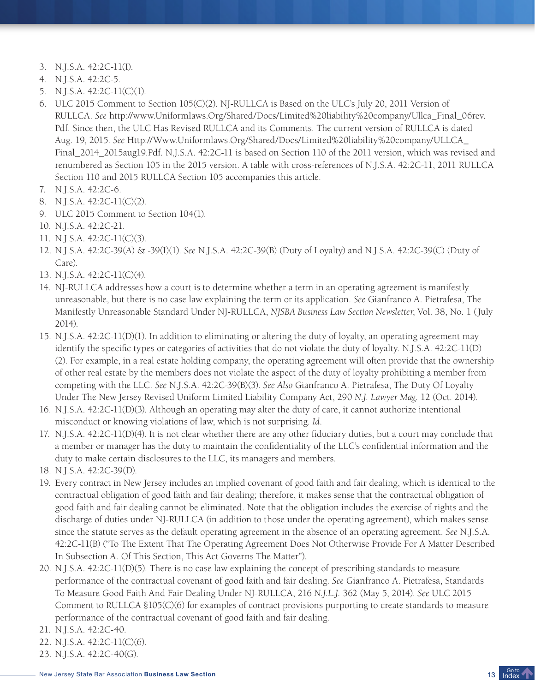- 3. N.J.S.A. 42:2C-11(I).
- 4. N.J.S.A. 42:2C-5.
- 5. N.J.S.A. 42:2C-11(C)(1).
- 6. ULC 2015 Comment to Section 105(C)(2). NJ-RULLCA is Based on the ULC's July 20, 2011 Version of RULLCA. *See* http://www.Uniformlaws.Org/Shared/Docs/Limited%20liability%20company/Ullca\_Final\_06rev. Pdf. Since then, the ULC Has Revised RULLCA and its Comments. The current version of RULLCA is dated Aug. 19, 2015. *See* Http://Www.Uniformlaws.Org/Shared/Docs/Limited%20liability%20company/ULLCA\_ Final\_2014\_2015aug19.Pdf. N.J.S.A. 42:2C-11 is based on Section 110 of the 2011 version, which was revised and renumbered as Section 105 in the 2015 version. A table with cross-references of N.J.S.A. 42:2C-11, 2011 RULLCA Section 110 and 2015 RULLCA Section 105 accompanies this article.
- 7. N.J.S.A. 42:2C-6.
- 8. N.J.S.A. 42:2C-11(C)(2).
- 9. ULC 2015 Comment to Section 104(1).
- 10. N.J.S.A. 42:2C-21.
- 11. N.J.S.A. 42:2C-11(C)(3).
- 12. N.J.S.A. 42:2C-39(A) & -39(I)(1). *See* N.J.S.A. 42:2C-39(B) (Duty of Loyalty) and N.J.S.A. 42:2C-39(C) (Duty of Care).
- 13. N.J.S.A. 42:2C-11(C)(4).
- 14. NJ-RULLCA addresses how a court is to determine whether a term in an operating agreement is manifestly unreasonable, but there is no case law explaining the term or its application. *See* Gianfranco A. Pietrafesa, The Manifestly Unreasonable Standard Under NJ-RULLCA, *NJSBA Business Law Section Newsletter*, Vol. 38, No. 1 (July 2014).
- 15. N.J.S.A. 42:2C-11(D)(1). In addition to eliminating or altering the duty of loyalty, an operating agreement may identify the specific types or categories of activities that do not violate the duty of loyalty. N.J.S.A. 42:2C-11(D) (2). For example, in a real estate holding company, the operating agreement will often provide that the ownership of other real estate by the members does not violate the aspect of the duty of loyalty prohibiting a member from competing with the LLC. *See* N.J.S.A. 42:2C-39(B)(3). *See Also* Gianfranco A. Pietrafesa, The Duty Of Loyalty Under The New Jersey Revised Uniform Limited Liability Company Act, 290 *N.J. Lawyer Mag*. 12 (Oct. 2014).
- 16. N.J.S.A. 42:2C-11(D)(3). Although an operating may alter the duty of care, it cannot authorize intentional misconduct or knowing violations of law, which is not surprising. *Id*.
- 17. N.J.S.A. 42:2C-11(D)(4). It is not clear whether there are any other fiduciary duties, but a court may conclude that a member or manager has the duty to maintain the confidentiality of the LLC's confidential information and the duty to make certain disclosures to the LLC, its managers and members.
- 18. N.J.S.A. 42:2C-39(D).
- 19. Every contract in New Jersey includes an implied covenant of good faith and fair dealing, which is identical to the contractual obligation of good faith and fair dealing; therefore, it makes sense that the contractual obligation of good faith and fair dealing cannot be eliminated. Note that the obligation includes the exercise of rights and the discharge of duties under NJ-RULLCA (in addition to those under the operating agreement), which makes sense since the statute serves as the default operating agreement in the absence of an operating agreement. *See* N.J.S.A. 42:2C-11(B) ("To The Extent That The Operating Agreement Does Not Otherwise Provide For A Matter Described In Subsection A. Of This Section, This Act Governs The Matter").
- 20. N.J.S.A. 42:2C-11(D)(5). There is no case law explaining the concept of prescribing standards to measure performance of the contractual covenant of good faith and fair dealing. *See* Gianfranco A. Pietrafesa, Standards To Measure Good Faith And Fair Dealing Under NJ-RULLCA, 216 *N.J.L.J.* 362 (May 5, 2014). *See* ULC 2015 Comment to RULLCA §105(C)(6) for examples of contract provisions purporting to create standards to measure performance of the contractual covenant of good faith and fair dealing.
- 21. N.J.S.A. 42:2C-40.
- 22. N.J.S.A. 42:2C-11(C)(6).
- 23. N.J.S.A. 42:2C-40(G).